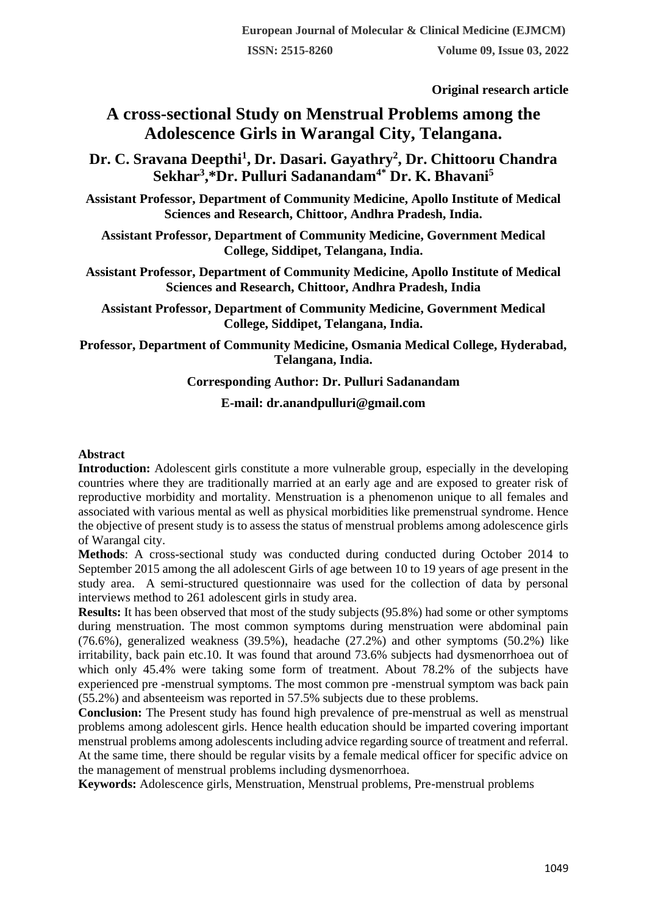**Original research article** 

## **A cross-sectional Study on Menstrual Problems among the Adolescence Girls in Warangal City, Telangana.**

**Dr. C. Sravana Deepthi<sup>1</sup> , Dr. Dasari. Gayathry<sup>2</sup> , Dr. Chittooru Chandra Sekhar<sup>3</sup> ,\*Dr. Pulluri Sadanandam4\* Dr. K. Bhavani<sup>5</sup>**

**Assistant Professor, Department of Community Medicine, Apollo Institute of Medical Sciences and Research, Chittoor, Andhra Pradesh, India.**

**Assistant Professor, Department of Community Medicine, Government Medical College, Siddipet, Telangana, India.**

**Assistant Professor, Department of Community Medicine, Apollo Institute of Medical Sciences and Research, Chittoor, Andhra Pradesh, India**

**Assistant Professor, Department of Community Medicine, Government Medical College, Siddipet, Telangana, India.**

**Professor, Department of Community Medicine, Osmania Medical College, Hyderabad, Telangana, India.**

#### **Corresponding Author: Dr. Pulluri Sadanandam**

#### **E-mail: dr.anandpulluri@gmail.com**

#### **Abstract**

**Introduction:** Adolescent girls constitute a more vulnerable group, especially in the developing countries where they are traditionally married at an early age and are exposed to greater risk of reproductive morbidity and mortality. Menstruation is a phenomenon unique to all females and associated with various mental as well as physical morbidities like premenstrual syndrome. Hence the objective of present study is to assess the status of menstrual problems among adolescence girls of Warangal city.

**Methods**: A cross-sectional study was conducted during conducted during October 2014 to September 2015 among the all adolescent Girls of age between 10 to 19 years of age present in the study area. A semi-structured questionnaire was used for the collection of data by personal interviews method to 261 adolescent girls in study area.

**Results:** It has been observed that most of the study subjects (95.8%) had some or other symptoms during menstruation. The most common symptoms during menstruation were abdominal pain (76.6%), generalized weakness (39.5%), headache (27.2%) and other symptoms (50.2%) like irritability, back pain etc.10. It was found that around 73.6% subjects had dysmenorrhoea out of which only 45.4% were taking some form of treatment. About 78.2% of the subjects have experienced pre -menstrual symptoms. The most common pre -menstrual symptom was back pain (55.2%) and absenteeism was reported in 57.5% subjects due to these problems.

**Conclusion:** The Present study has found high prevalence of pre-menstrual as well as menstrual problems among adolescent girls. Hence health education should be imparted covering important menstrual problems among adolescents including advice regarding source of treatment and referral. At the same time, there should be regular visits by a female medical officer for specific advice on the management of menstrual problems including dysmenorrhoea.

**Keywords:** Adolescence girls, Menstruation, Menstrual problems, Pre-menstrual problems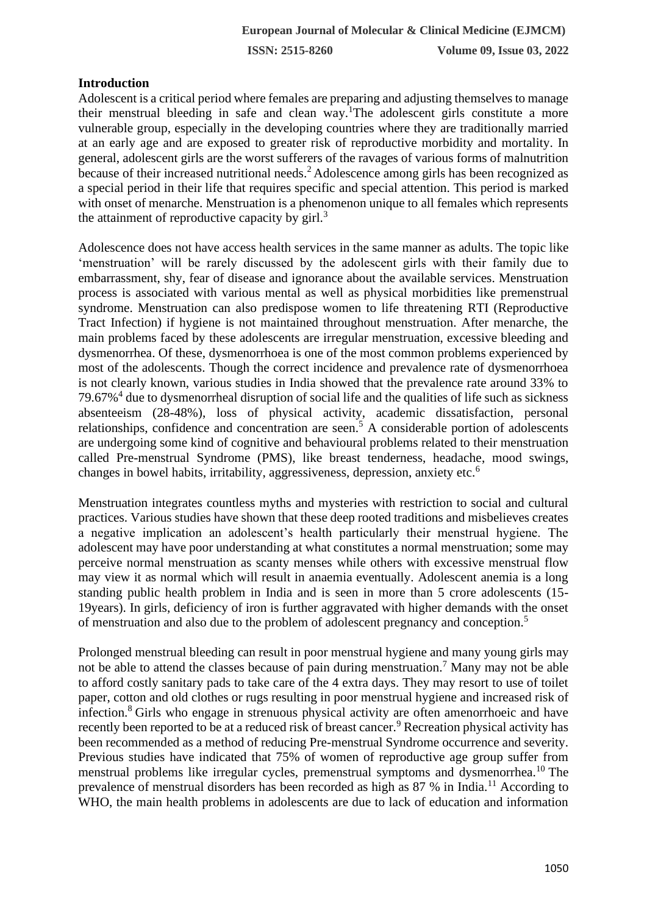## **Introduction**

Adolescent is a critical period where females are preparing and adjusting themselves to manage their menstrual bleeding in safe and clean way.<sup>1</sup>The adolescent girls constitute a more vulnerable group, especially in the developing countries where they are traditionally married at an early age and are exposed to greater risk of reproductive morbidity and mortality. In general, adolescent girls are the worst sufferers of the ravages of various forms of malnutrition because of their increased nutritional needs.<sup>2</sup> Adolescence among girls has been recognized as a special period in their life that requires specific and special attention. This period is marked with onset of menarche. Menstruation is a phenomenon unique to all females which represents the attainment of reproductive capacity by  $\text{girl.}^3$ 

Adolescence does not have access health services in the same manner as adults. The topic like 'menstruation' will be rarely discussed by the adolescent girls with their family due to embarrassment, shy, fear of disease and ignorance about the available services. Menstruation process is associated with various mental as well as physical morbidities like premenstrual syndrome. Menstruation can also predispose women to life threatening RTI (Reproductive Tract Infection) if hygiene is not maintained throughout menstruation. After menarche, the main problems faced by these adolescents are irregular menstruation, excessive bleeding and dysmenorrhea. Of these, dysmenorrhoea is one of the most common problems experienced by most of the adolescents. Though the correct incidence and prevalence rate of dysmenorrhoea is not clearly known, various studies in India showed that the prevalence rate around 33% to 79.67%<sup>4</sup> due to dysmenorrheal disruption of social life and the qualities of life such as sickness absenteeism (28-48%), loss of physical activity, academic dissatisfaction, personal relationships, confidence and concentration are seen.<sup>5</sup> A considerable portion of adolescents are undergoing some kind of cognitive and behavioural problems related to their menstruation called Pre-menstrual Syndrome (PMS), like breast tenderness, headache, mood swings, changes in bowel habits, irritability, aggressiveness, depression, anxiety etc.<sup>6</sup>

Menstruation integrates countless myths and mysteries with restriction to social and cultural practices. Various studies have shown that these deep rooted traditions and misbelieves creates a negative implication an adolescent's health particularly their menstrual hygiene. The adolescent may have poor understanding at what constitutes a normal menstruation; some may perceive normal menstruation as scanty menses while others with excessive menstrual flow may view it as normal which will result in anaemia eventually. Adolescent anemia is a long standing public health problem in India and is seen in more than 5 crore adolescents (15- 19years). In girls, deficiency of iron is further aggravated with higher demands with the onset of menstruation and also due to the problem of adolescent pregnancy and conception.<sup>5</sup>

Prolonged menstrual bleeding can result in poor menstrual hygiene and many young girls may not be able to attend the classes because of pain during menstruation.<sup>7</sup> Many may not be able to afford costly sanitary pads to take care of the 4 extra days. They may resort to use of toilet paper, cotton and old clothes or rugs resulting in poor menstrual hygiene and increased risk of infection.<sup>8</sup>Girls who engage in strenuous physical activity are often amenorrhoeic and have recently been reported to be at a reduced risk of breast cancer.<sup>9</sup> Recreation physical activity has been recommended as a method of reducing Pre-menstrual Syndrome occurrence and severity. Previous studies have indicated that 75% of women of reproductive age group suffer from menstrual problems like irregular cycles, premenstrual symptoms and dysmenorrhea.<sup>10</sup> The prevalence of menstrual disorders has been recorded as high as 87 % in India.<sup>11</sup> According to WHO, the main health problems in adolescents are due to lack of education and information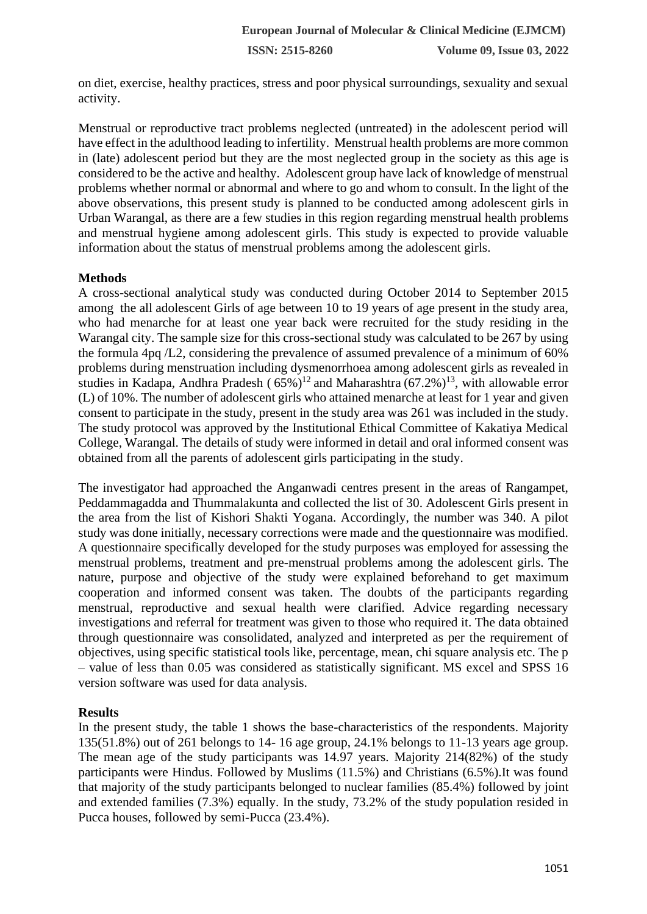on diet, exercise, healthy practices, stress and poor physical surroundings, sexuality and sexual activity.

Menstrual or reproductive tract problems neglected (untreated) in the adolescent period will have effect in the adulthood leading to infertility. Menstrual health problems are more common in (late) adolescent period but they are the most neglected group in the society as this age is considered to be the active and healthy. Adolescent group have lack of knowledge of menstrual problems whether normal or abnormal and where to go and whom to consult. In the light of the above observations, this present study is planned to be conducted among adolescent girls in Urban Warangal, as there are a few studies in this region regarding menstrual health problems and menstrual hygiene among adolescent girls. This study is expected to provide valuable information about the status of menstrual problems among the adolescent girls.

#### **Methods**

A cross-sectional analytical study was conducted during October 2014 to September 2015 among the all adolescent Girls of age between 10 to 19 years of age present in the study area, who had menarche for at least one year back were recruited for the study residing in the Warangal city. The sample size for this cross-sectional study was calculated to be 267 by using the formula 4pq /L2, considering the prevalence of assumed prevalence of a minimum of 60% problems during menstruation including dysmenorrhoea among adolescent girls as revealed in studies in Kadapa, Andhra Pradesh ( $65\%$ )<sup>12</sup> and Maharashtra ( $67.2\%$ )<sup>13</sup>, with allowable error (L) of 10%. The number of adolescent girls who attained menarche at least for 1 year and given consent to participate in the study, present in the study area was 261 was included in the study. The study protocol was approved by the Institutional Ethical Committee of Kakatiya Medical College, Warangal. The details of study were informed in detail and oral informed consent was obtained from all the parents of adolescent girls participating in the study.

The investigator had approached the Anganwadi centres present in the areas of Rangampet, Peddammagadda and Thummalakunta and collected the list of 30. Adolescent Girls present in the area from the list of Kishori Shakti Yogana. Accordingly, the number was 340. A pilot study was done initially, necessary corrections were made and the questionnaire was modified. A questionnaire specifically developed for the study purposes was employed for assessing the menstrual problems, treatment and pre-menstrual problems among the adolescent girls. The nature, purpose and objective of the study were explained beforehand to get maximum cooperation and informed consent was taken. The doubts of the participants regarding menstrual, reproductive and sexual health were clarified. Advice regarding necessary investigations and referral for treatment was given to those who required it. The data obtained through questionnaire was consolidated, analyzed and interpreted as per the requirement of objectives, using specific statistical tools like, percentage, mean, chi square analysis etc. The p – value of less than 0.05 was considered as statistically significant. MS excel and SPSS 16 version software was used for data analysis.

### **Results**

In the present study, the table 1 shows the base-characteristics of the respondents. Majority 135(51.8%) out of 261 belongs to 14- 16 age group, 24.1% belongs to 11-13 years age group. The mean age of the study participants was 14.97 years. Majority 214(82%) of the study participants were Hindus. Followed by Muslims (11.5%) and Christians (6.5%).It was found that majority of the study participants belonged to nuclear families (85.4%) followed by joint and extended families (7.3%) equally. In the study, 73.2% of the study population resided in Pucca houses, followed by semi-Pucca (23.4%).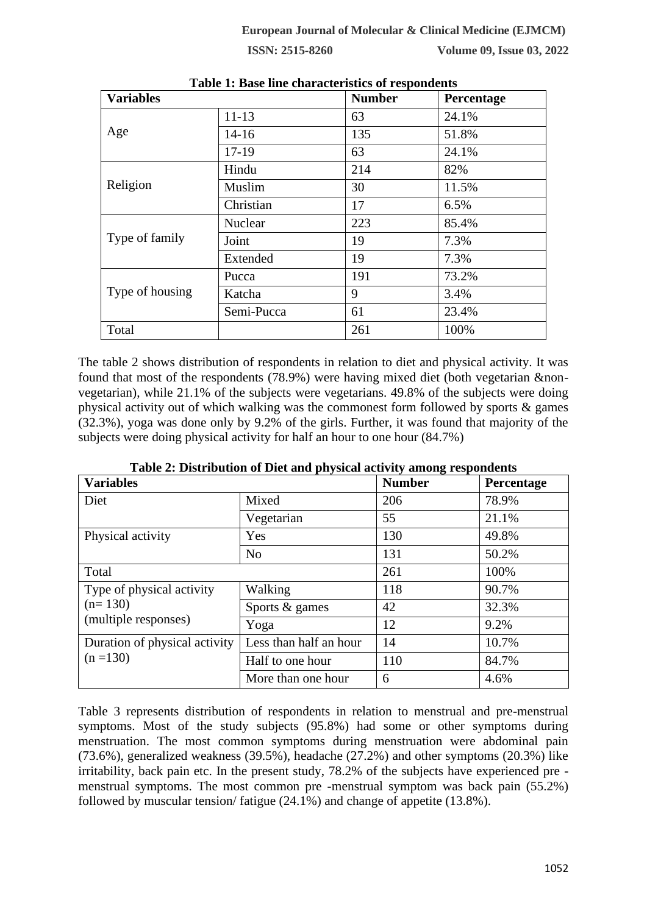| <b>Variables</b> |            | <b>Number</b> | Percentage |
|------------------|------------|---------------|------------|
|                  | $11 - 13$  | 63            | 24.1%      |
| Age              | $14 - 16$  | 135           | 51.8%      |
|                  | $17-19$    | 63            | 24.1%      |
|                  | Hindu      | 214           | 82%        |
| Religion         | Muslim     | 30            | 11.5%      |
|                  | Christian  | 17            | 6.5%       |
| Type of family   | Nuclear    | 223           | 85.4%      |
|                  | Joint      | 19            | 7.3%       |
|                  | Extended   | 19            | 7.3%       |
|                  | Pucca      | 191           | 73.2%      |
| Type of housing  | Katcha     | 9             | 3.4%       |
|                  | Semi-Pucca | 61            | 23.4%      |
| Total            |            | 261           | 100%       |

|  |  |  | Table 1: Base line characteristics of respondents |  |  |  |
|--|--|--|---------------------------------------------------|--|--|--|
|--|--|--|---------------------------------------------------|--|--|--|

The table 2 shows distribution of respondents in relation to diet and physical activity. It was found that most of the respondents (78.9%) were having mixed diet (both vegetarian &nonvegetarian), while 21.1% of the subjects were vegetarians. 49.8% of the subjects were doing physical activity out of which walking was the commonest form followed by sports & games (32.3%), yoga was done only by 9.2% of the girls. Further, it was found that majority of the subjects were doing physical activity for half an hour to one hour (84.7%)

| <b>Variables</b>              |                        | ີ<br><b>Number</b> | Percentage |  |
|-------------------------------|------------------------|--------------------|------------|--|
| Diet                          | Mixed                  | 206                | 78.9%      |  |
|                               | Vegetarian             | 55                 | 21.1%      |  |
| Physical activity             | Yes                    | 130                | 49.8%      |  |
|                               | N <sub>o</sub>         | 131                | 50.2%      |  |
| Total                         |                        | 261                | 100%       |  |
| Type of physical activity     | Walking                | 118                | 90.7%      |  |
| $(n=130)$                     | Sports $&$ games       | 42                 | 32.3%      |  |
| (multiple responses)          | Yoga                   | 12                 | 9.2%       |  |
| Duration of physical activity | Less than half an hour | 14                 | 10.7%      |  |
| $(n = 130)$                   | Half to one hour       | 110                | 84.7%      |  |
|                               | More than one hour     | 6                  | 4.6%       |  |

**Table 2: Distribution of Diet and physical activity among respondents**

Table 3 represents distribution of respondents in relation to menstrual and pre-menstrual symptoms. Most of the study subjects (95.8%) had some or other symptoms during menstruation. The most common symptoms during menstruation were abdominal pain (73.6%), generalized weakness (39.5%), headache (27.2%) and other symptoms (20.3%) like irritability, back pain etc. In the present study, 78.2% of the subjects have experienced pre menstrual symptoms. The most common pre -menstrual symptom was back pain (55.2%) followed by muscular tension/ fatigue (24.1%) and change of appetite (13.8%).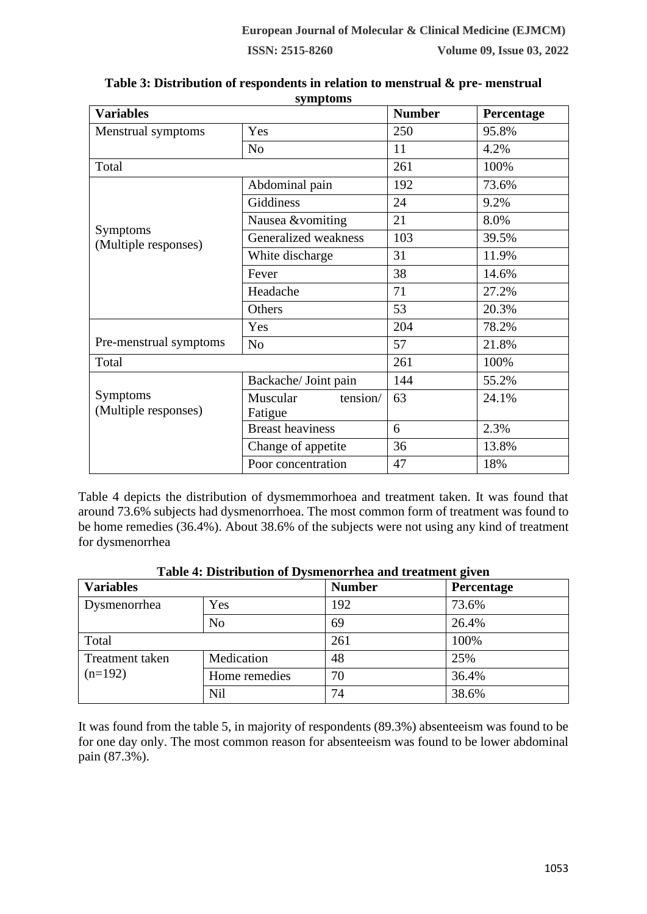| <b>Variables</b>                        |                                 | <b>Number</b> | Percentage |
|-----------------------------------------|---------------------------------|---------------|------------|
| Menstrual symptoms                      | Yes                             | 250           | 95.8%      |
|                                         | N <sub>o</sub>                  | 11            | 4.2%       |
| Total                                   |                                 | 261           | 100%       |
|                                         | Abdominal pain                  | 192           | 73.6%      |
|                                         | Giddiness                       | 24            | 9.2%       |
|                                         | Nausea &vomiting                | 21            | 8.0%       |
| Symptoms<br>(Multiple responses)        | Generalized weakness            | 103           | 39.5%      |
|                                         | White discharge                 | 31            | 11.9%      |
|                                         | Fever                           | 38            | 14.6%      |
|                                         | Headache                        | 71            | 27.2%      |
|                                         | Others                          | 53            | 20.3%      |
|                                         | Yes                             | 204           | 78.2%      |
| Pre-menstrual symptoms                  | N <sub>o</sub>                  | 57            | 21.8%      |
| Total                                   |                                 | 261           | 100%       |
|                                         | Backache/ Joint pain            | 144           | 55.2%      |
| <b>Symptoms</b><br>(Multiple responses) | tension/<br>Muscular<br>Fatigue | 63            | 24.1%      |
|                                         | <b>Breast heaviness</b>         | 6             | 2.3%       |
|                                         | Change of appetite              | 36            | 13.8%      |
|                                         | Poor concentration              | 47            | 18%        |

**Table 3: Distribution of respondents in relation to menstrual & pre- menstrual symptoms**

Table 4 depicts the distribution of dysmemmorhoea and treatment taken. It was found that around 73.6% subjects had dysmenorrhoea. The most common form of treatment was found to be home remedies (36.4%). About 38.6% of the subjects were not using any kind of treatment for dysmenorrhea

|  |  | Table 4: Distribution of Dysmenorrhea and treatment given |  |
|--|--|-----------------------------------------------------------|--|
|--|--|-----------------------------------------------------------|--|

| <b>Variables</b> |                | <b>Number</b> | Percentage |  |
|------------------|----------------|---------------|------------|--|
| Dysmenorrhea     | Yes            | 192           | 73.6%      |  |
|                  | N <sub>o</sub> | 69            | 26.4%      |  |
| Total            |                | 261           | 100%       |  |
| Treatment taken  | Medication     | 48            | 25%        |  |
| $(n=192)$        | Home remedies  | 70            | 36.4%      |  |
|                  | <b>Nil</b>     | 74            | 38.6%      |  |

It was found from the table 5, in majority of respondents (89.3%) absenteeism was found to be for one day only. The most common reason for absenteeism was found to be lower abdominal pain (87.3%).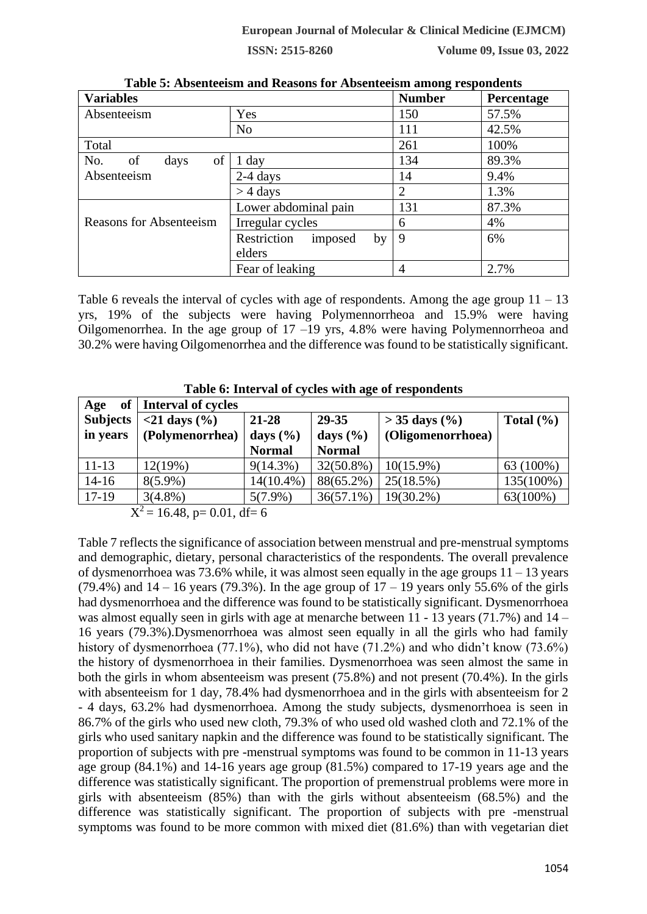| <b>Variables</b>        | Tropometrioni unu recupend for tropometrioni unioni respondence | <b>Number</b> | Percentage |
|-------------------------|-----------------------------------------------------------------|---------------|------------|
| Absenteeism             | Yes                                                             | 150           | 57.5%      |
|                         | N <sub>o</sub>                                                  | 111           | 42.5%      |
| Total                   |                                                                 | 261           | 100%       |
| of<br>No.<br>of<br>days | 1 day                                                           | 134           | 89.3%      |
| Absenteeism             | 14                                                              | 9.4%          |            |
|                         | $>$ 4 days                                                      | 2             | 1.3%       |
|                         | Lower abdominal pain                                            | 131           | 87.3%      |
| Reasons for Absenteeism | Irregular cycles                                                | 6             | 4%         |
|                         | Restriction<br>imposed<br>by                                    | 9             | 6%         |
|                         | elders                                                          |               |            |
|                         | Fear of leaking                                                 | 4             | 2.7%       |

**Table 5: Absenteeism and Reasons for Absenteeism among respondents**

Table 6 reveals the interval of cycles with age of respondents. Among the age group  $11 - 13$ yrs, 19% of the subjects were having Polymennorrheoa and 15.9% were having Oilgomenorrhea. In the age group of  $17 - 19$  yrs,  $4.8\%$  were having Polymennorrheoa and 30.2% were having Oilgomenorrhea and the difference was found to be statistically significant.

| Age             | of   Interval of cycles               |               |               |                          |               |
|-----------------|---------------------------------------|---------------|---------------|--------------------------|---------------|
| <b>Subjects</b> | $<$ 21 days $(\% )$                   | $21 - 28$     | 29-35         | $> 35 \text{ days } (%)$ | Total $(\% )$ |
| in years        | (Polymenorrhea)                       | days $(\% )$  | days $(\%)$   | (Oligomenorrhoea)        |               |
|                 |                                       | <b>Normal</b> | <b>Normal</b> |                          |               |
| $11 - 13$       | 12(19%)                               | $9(14.3\%)$   | $32(50.8\%)$  | $10(15.9\%)$             | 63 (100%)     |
| $14 - 16$       | $8(5.9\%)$                            | $14(10.4\%)$  | 88(65.2%)     | 25(18.5%)                | 135(100%)     |
| $17-19$         | $3(4.8\%)$                            | $5(7.9\%)$    | $36(57.1\%)$  | $19(30.2\%)$             | 63(100%)      |
| $\mathbf{r}$    | $1 \times 10$<br>$0.01 \pm 10 \times$ |               |               |                          |               |

**Table 6: Interval of cycles with age of respondents**

 $X^2 = 16.48$ , p= 0.01, df= 6

Table 7 reflects the significance of association between menstrual and pre-menstrual symptoms and demographic, dietary, personal characteristics of the respondents. The overall prevalence of dysmenorrhoea was 73.6% while, it was almost seen equally in the age groups  $11 - 13$  years (79.4%) and  $14 - 16$  years (79.3%). In the age group of  $17 - 19$  years only 55.6% of the girls had dysmenorrhoea and the difference was found to be statistically significant. Dysmenorrhoea was almost equally seen in girls with age at menarche between 11 - 13 years (71.7%) and 14 – 16 years (79.3%).Dysmenorrhoea was almost seen equally in all the girls who had family history of dysmenorrhoea (77.1%), who did not have (71.2%) and who didn't know (73.6%) the history of dysmenorrhoea in their families. Dysmenorrhoea was seen almost the same in both the girls in whom absenteeism was present (75.8%) and not present (70.4%). In the girls with absenteeism for 1 day, 78.4% had dysmenorrhoea and in the girls with absenteeism for 2 - 4 days, 63.2% had dysmenorrhoea. Among the study subjects, dysmenorrhoea is seen in 86.7% of the girls who used new cloth, 79.3% of who used old washed cloth and 72.1% of the girls who used sanitary napkin and the difference was found to be statistically significant. The proportion of subjects with pre -menstrual symptoms was found to be common in 11-13 years age group (84.1%) and 14-16 years age group (81.5%) compared to 17-19 years age and the difference was statistically significant. The proportion of premenstrual problems were more in girls with absenteeism (85%) than with the girls without absenteeism (68.5%) and the difference was statistically significant. The proportion of subjects with pre -menstrual symptoms was found to be more common with mixed diet (81.6%) than with vegetarian diet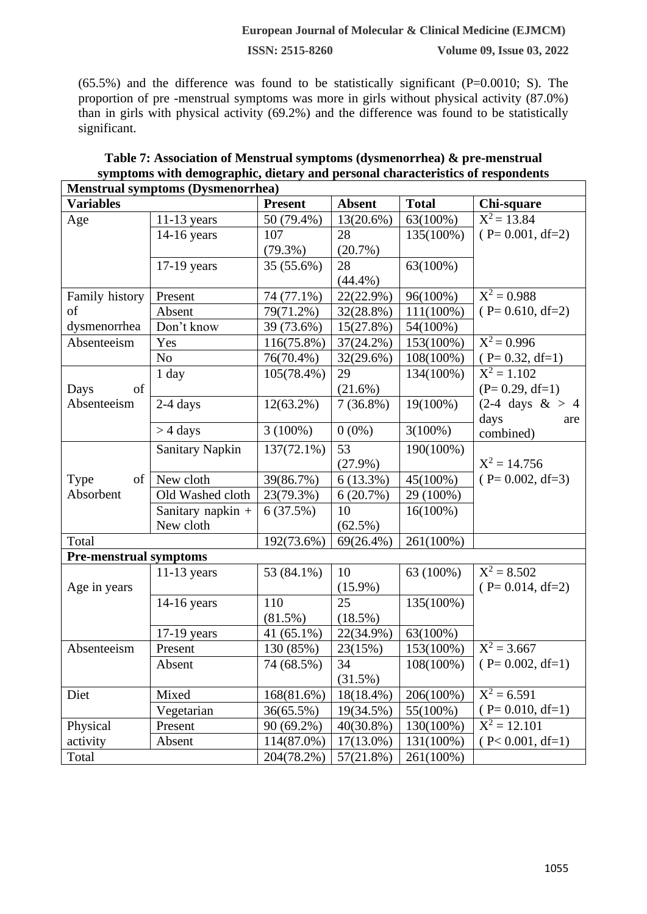$(65.5%)$  and the difference was found to be statistically significant  $(P=0.0010; S)$ . The proportion of pre -menstrual symptoms was more in girls without physical activity (87.0%) than in girls with physical activity (69.2%) and the difference was found to be statistically significant.

| <b>Menstrual symptoms (Dysmenorrhea)</b> |                        |                |               |              |                            |  |  |
|------------------------------------------|------------------------|----------------|---------------|--------------|----------------------------|--|--|
| <b>Variables</b>                         |                        | <b>Present</b> | <b>Absent</b> | <b>Total</b> | Chi-square                 |  |  |
| Age                                      | $11-13$ years          | 50 (79.4%)     | 13(20.6%)     | 63(100%)     | $X^2 = 13.84$              |  |  |
|                                          | 14-16 years            | 107            | 28            | 135(100%)    | $(P=0.001, df=2)$          |  |  |
|                                          |                        | $(79.3\%)$     | (20.7%)       |              |                            |  |  |
|                                          | 17-19 years            | 35 (55.6%)     | 28            | 63(100%)     |                            |  |  |
|                                          |                        |                | $(44.4\%)$    |              |                            |  |  |
| Family history                           | Present                | 74 (77.1%)     | 22(22.9%)     | 96(100%)     | $X^2 = 0.988$              |  |  |
| of                                       | Absent                 | 79(71.2%)      | 32(28.8%)     | $111(100\%)$ | $(P= 0.610, df=2)$         |  |  |
| dysmenorrhea                             | Don't know             | 39 (73.6%)     | 15(27.8%)     | 54(100%)     |                            |  |  |
| Absenteeism                              | Yes                    | 116(75.8%)     | 37(24.2%)     | 153(100%)    | $X^2 = 0.996$              |  |  |
|                                          | N <sub>o</sub>         | 76(70.4%)      | 32(29.6%)     | 108(100%)    | $(P= 0.32, df=1)$          |  |  |
|                                          | 1 day                  | 105(78.4%)     | 29            | 134(100%)    | $X^2 = 1.102$              |  |  |
| of<br>Days                               |                        |                | (21.6%)       |              | $(P= 0.29, df=1)$          |  |  |
| Absenteeism                              | $2-4$ days             | $12(63.2\%)$   | $7(36.8\%)$   | 19(100%)     | $(2-4 \text{ days } \&>4)$ |  |  |
|                                          |                        |                |               |              | days<br>are                |  |  |
|                                          | $>$ 4 days             | $3(100\%)$     | $0(0\%)$      | $3(100\%)$   | combined)                  |  |  |
|                                          | <b>Sanitary Napkin</b> | 137(72.1%)     | 53            | 190(100%)    |                            |  |  |
|                                          |                        |                | $(27.9\%)$    |              | $X^2 = 14.756$             |  |  |
| Type<br>of                               | New cloth              | 39(86.7%)      | $6(13.3\%)$   | 45(100%)     | $(P=0.002, df=3)$          |  |  |
| Absorbent                                | Old Washed cloth       | 23(79.3%)      | 6(20.7%)      | 29 (100%)    |                            |  |  |
|                                          | Sanitary napkin +      | 6(37.5%)       | 10            | $16(100\%)$  |                            |  |  |
|                                          | New cloth              |                | $(62.5\%)$    |              |                            |  |  |
| Total                                    |                        | 192(73.6%)     | $69(26.4\%)$  | 261(100%)    |                            |  |  |
| <b>Pre-menstrual symptoms</b>            |                        |                |               |              |                            |  |  |
|                                          | $11-13$ years          | 53 (84.1%)     | 10            | 63 (100%)    | $X^2 = 8.502$              |  |  |
| Age in years                             |                        |                | $(15.9\%)$    |              | $(P=0.014, df=2)$          |  |  |
|                                          | 14-16 years            | 110            | 25            | 135(100%)    |                            |  |  |
|                                          |                        | $(81.5\%)$     | $(18.5\%)$    |              |                            |  |  |
|                                          | $17-19$ years          | 41 $(65.1\%)$  | 22(34.9%)     | 63(100%)     |                            |  |  |
| Absenteeism                              | Present                | 130 (85%)      | 23(15%)       | 153(100%)    | $X^2 = 3.667$              |  |  |
|                                          | Absent                 | 74 (68.5%)     | 34            | 108(100%)    | $(P=0.002, df=1)$          |  |  |
|                                          |                        |                | (31.5%)       |              |                            |  |  |
| Diet                                     | Mixed                  | 168(81.6%)     | 18(18.4%)     | 206(100%)    | $X^2 = 6.591$              |  |  |
|                                          | Vegetarian             | 36(65.5%)      | 19(34.5%)     | 55(100%)     | $(P=0.010, df=1)$          |  |  |
| Physical                                 | Present                | 90 (69.2%)     | 40(30.8%)     | 130(100%)    | $X^2 = 12.101$             |  |  |
| activity                                 | Absent                 | 114(87.0%)     | $17(13.0\%)$  | 131(100%)    | $(P< 0.001, df=1)$         |  |  |
| Total                                    |                        | 204(78.2%)     | 57(21.8%)     | 261(100%)    |                            |  |  |

# **Table 7: Association of Menstrual symptoms (dysmenorrhea) & pre-menstrual symptoms with demographic, dietary and personal characteristics of respondents**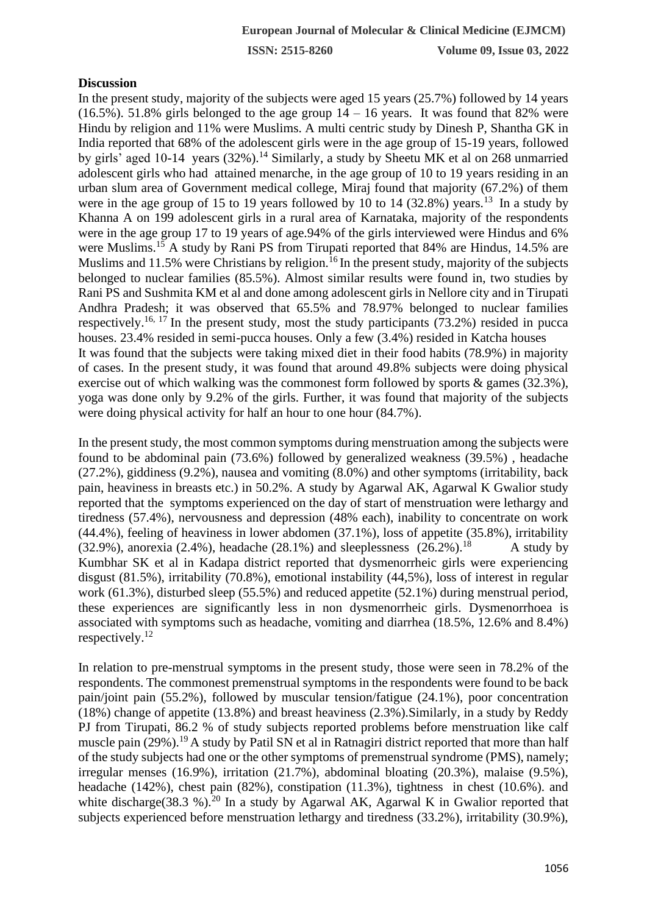#### **Discussion**

In the present study, majority of the subjects were aged 15 years (25.7%) followed by 14 years  $(16.5\%)$ . 51.8% girls belonged to the age group  $14 - 16$  years. It was found that 82% were Hindu by religion and 11% were Muslims. A multi centric study by Dinesh P, Shantha GK in India reported that 68% of the adolescent girls were in the age group of 15-19 years, followed by girls' aged 10-14 years  $(32\%)$ .<sup>14</sup> Similarly, a study by Sheetu MK et al on 268 unmarried adolescent girls who had attained menarche, in the age group of 10 to 19 years residing in an urban slum area of Government medical college, Miraj found that majority (67.2%) of them were in the age group of 15 to 19 years followed by 10 to 14  $(32.8%)$  years.<sup>13</sup> In a study by Khanna A on 199 adolescent girls in a rural area of Karnataka, majority of the respondents were in the age group 17 to 19 years of age.94% of the girls interviewed were Hindus and 6% were Muslims.<sup>15</sup> A study by Rani PS from Tirupati reported that 84% are Hindus, 14.5% are Muslims and 11.5% were Christians by religion.<sup>16</sup> In the present study, majority of the subjects belonged to nuclear families (85.5%). Almost similar results were found in, two studies by Rani PS and Sushmita KM et al and done among adolescent girls in Nellore city and in Tirupati Andhra Pradesh; it was observed that 65.5% and 78.97% belonged to nuclear families respectively.<sup>16, 17</sup> In the present study, most the study participants  $(73.2%)$  resided in pucca houses. 23.4% resided in semi-pucca houses. Only a few (3.4%) resided in Katcha houses It was found that the subjects were taking mixed diet in their food habits (78.9%) in majority of cases. In the present study, it was found that around 49.8% subjects were doing physical exercise out of which walking was the commonest form followed by sports & games (32.3%), yoga was done only by 9.2% of the girls. Further, it was found that majority of the subjects were doing physical activity for half an hour to one hour (84.7%).

In the present study, the most common symptoms during menstruation among the subjects were found to be abdominal pain (73.6%) followed by generalized weakness (39.5%) , headache (27.2%), giddiness (9.2%), nausea and vomiting (8.0%) and other symptoms (irritability, back pain, heaviness in breasts etc.) in 50.2%. A study by Agarwal AK, Agarwal K Gwalior study reported that the symptoms experienced on the day of start of menstruation were lethargy and tiredness (57.4%), nervousness and depression (48% each), inability to concentrate on work (44.4%), feeling of heaviness in lower abdomen (37.1%), loss of appetite (35.8%), irritability (32.9%), anorexia (2.4%), headache (28.1%) and sleeplessness (26.2%).<sup>18</sup> A study by Kumbhar SK et al in Kadapa district reported that dysmenorrheic girls were experiencing disgust (81.5%), irritability (70.8%), emotional instability (44,5%), loss of interest in regular work (61.3%), disturbed sleep (55.5%) and reduced appetite (52.1%) during menstrual period, these experiences are significantly less in non dysmenorrheic girls. Dysmenorrhoea is associated with symptoms such as headache, vomiting and diarrhea (18.5%, 12.6% and 8.4%) respectively.<sup>12</sup>

In relation to pre-menstrual symptoms in the present study, those were seen in 78.2% of the respondents. The commonest premenstrual symptoms in the respondents were found to be back pain/joint pain (55.2%), followed by muscular tension/fatigue (24.1%), poor concentration (18%) change of appetite (13.8%) and breast heaviness (2.3%).Similarly, in a study by Reddy PJ from Tirupati, 86.2 % of study subjects reported problems before menstruation like calf muscle pain (29%).<sup>19</sup> A study by Patil SN et al in Ratnagiri district reported that more than half of the study subjects had one or the other symptoms of premenstrual syndrome (PMS), namely; irregular menses (16.9%), irritation (21.7%), abdominal bloating (20.3%), malaise (9.5%), headache (142%), chest pain (82%), constipation (11.3%), tightness in chest (10.6%). and white discharge  $(38.3 \%)$ .<sup>20</sup> In a study by Agarwal AK, Agarwal K in Gwalior reported that subjects experienced before menstruation lethargy and tiredness (33.2%), irritability (30.9%),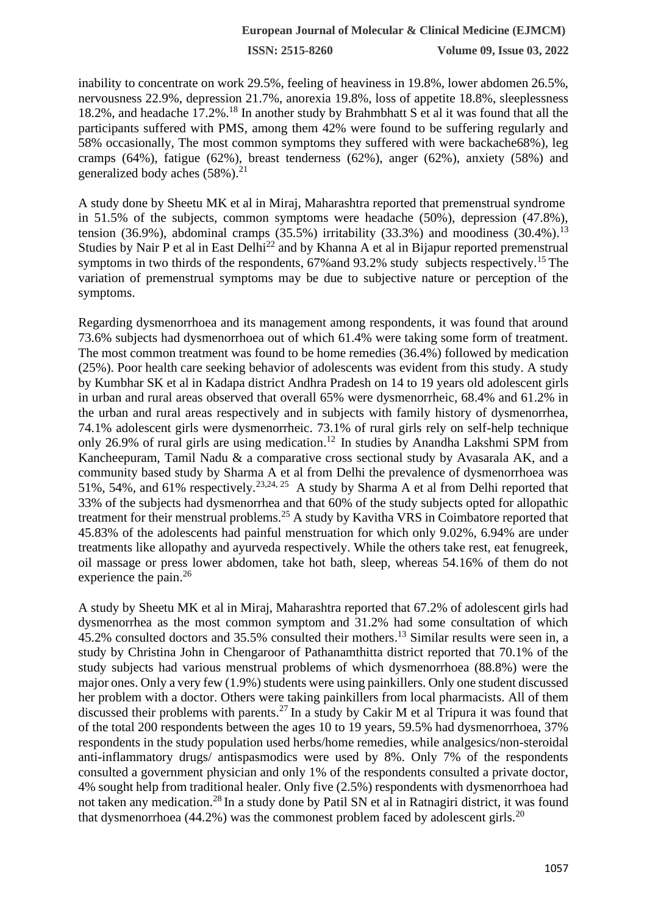inability to concentrate on work 29.5%, feeling of heaviness in 19.8%, lower abdomen 26.5%, nervousness 22.9%, depression 21.7%, anorexia 19.8%, loss of appetite 18.8%, sleeplessness 18.2%, and headache 17.2%.<sup>18</sup> In another study by Brahmbhatt S et al it was found that all the participants suffered with PMS, among them 42% were found to be suffering regularly and 58% occasionally, The most common symptoms they suffered with were backache68%), leg cramps (64%), fatigue (62%), breast tenderness (62%), anger (62%), anxiety (58%) and generalized body aches  $(58\%)$ <sup>21</sup>

A study done by Sheetu MK et al in Miraj, Maharashtra reported that premenstrual syndrome in 51.5% of the subjects, common symptoms were headache (50%), depression (47.8%), tension (36.9%), abdominal cramps (35.5%) irritability (33.3%) and moodiness (30.4%).<sup>13</sup> Studies by Nair P et al in East Delhi<sup>22</sup> and by Khanna A et al in Bijapur reported premenstrual symptoms in two thirds of the respondents,  $67\%$  and  $93.2\%$  study subjects respectively.<sup>15</sup> The variation of premenstrual symptoms may be due to subjective nature or perception of the symptoms.

Regarding dysmenorrhoea and its management among respondents, it was found that around 73.6% subjects had dysmenorrhoea out of which 61.4% were taking some form of treatment. The most common treatment was found to be home remedies (36.4%) followed by medication (25%). Poor health care seeking behavior of adolescents was evident from this study. A study by Kumbhar SK et al in Kadapa district Andhra Pradesh on 14 to 19 years old adolescent girls in urban and rural areas observed that overall 65% were dysmenorrheic, 68.4% and 61.2% in the urban and rural areas respectively and in subjects with family history of dysmenorrhea, 74.1% adolescent girls were dysmenorrheic. 73.1% of rural girls rely on self-help technique only 26.9% of rural girls are using medication.<sup>12</sup> In studies by Anandha Lakshmi SPM from Kancheepuram, Tamil Nadu & a comparative cross sectional study by Avasarala AK, and a community based study by Sharma A et al from Delhi the prevalence of dysmenorrhoea was 51%, 54%, and 61% respectively.<sup>23,24, 25</sup> A study by Sharma A et al from Delhi reported that 33% of the subjects had dysmenorrhea and that 60% of the study subjects opted for allopathic treatment for their menstrual problems.<sup>25</sup> A study by Kavitha VRS in Coimbatore reported that 45.83% of the adolescents had painful menstruation for which only 9.02%, 6.94% are under treatments like allopathy and ayurveda respectively. While the others take rest, eat fenugreek, oil massage or press lower abdomen, take hot bath, sleep, whereas 54.16% of them do not experience the pain.<sup>26</sup>

A study by Sheetu MK et al in Miraj, Maharashtra reported that 67.2% of adolescent girls had dysmenorrhea as the most common symptom and 31.2% had some consultation of which 45.2% consulted doctors and 35.5% consulted their mothers. <sup>13</sup> Similar results were seen in, a study by Christina John in Chengaroor of Pathanamthitta district reported that 70.1% of the study subjects had various menstrual problems of which dysmenorrhoea (88.8%) were the major ones. Only a very few (1.9%) students were using painkillers. Only one student discussed her problem with a doctor. Others were taking painkillers from local pharmacists. All of them discussed their problems with parents.<sup>27</sup> In a study by Cakir M et al Tripura it was found that of the total 200 respondents between the ages 10 to 19 years, 59.5% had dysmenorrhoea, 37% respondents in the study population used herbs/home remedies, while analgesics/non-steroidal anti-inflammatory drugs/ antispasmodics were used by 8%. Only 7% of the respondents consulted a government physician and only 1% of the respondents consulted a private doctor, 4% sought help from traditional healer. Only five (2.5%) respondents with dysmenorrhoea had not taken any medication.<sup>28</sup> In a study done by Patil SN et al in Ratnagiri district, it was found that dysmenorrhoea (44.2%) was the commonest problem faced by adolescent girls.<sup>20</sup>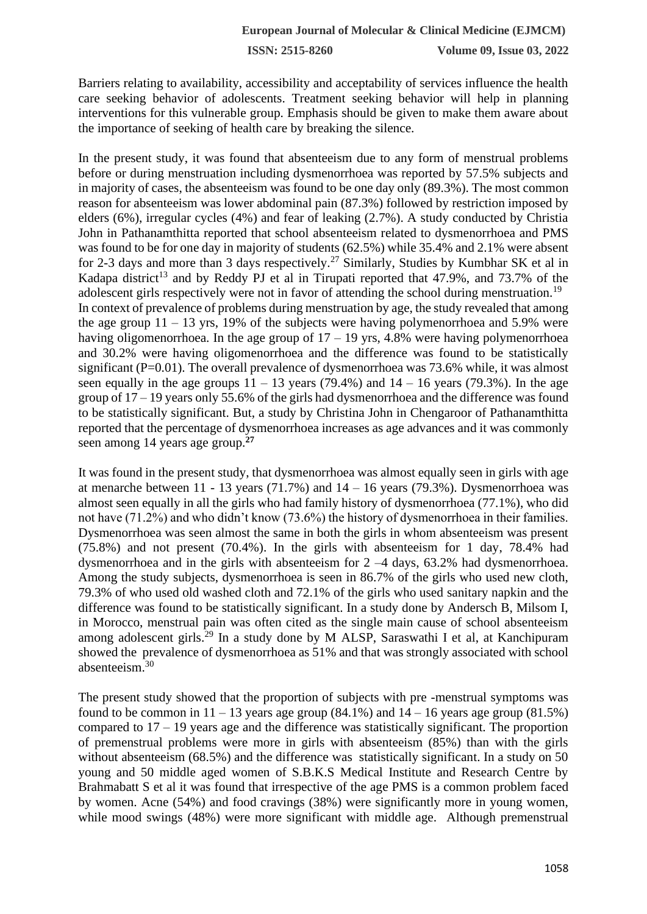Barriers relating to availability, accessibility and acceptability of services influence the health care seeking behavior of adolescents. Treatment seeking behavior will help in planning interventions for this vulnerable group. Emphasis should be given to make them aware about the importance of seeking of health care by breaking the silence.

In the present study, it was found that absenteeism due to any form of menstrual problems before or during menstruation including dysmenorrhoea was reported by 57.5% subjects and in majority of cases, the absenteeism was found to be one day only (89.3%). The most common reason for absenteeism was lower abdominal pain (87.3%) followed by restriction imposed by elders (6%), irregular cycles (4%) and fear of leaking (2.7%). A study conducted by Christia John in Pathanamthitta reported that school absenteeism related to dysmenorrhoea and PMS was found to be for one day in majority of students (62.5%) while 35.4% and 2.1% were absent for 2-3 days and more than 3 days respectively.<sup>27</sup> Similarly, Studies by Kumbhar SK et al in Kadapa district<sup>13</sup> and by Reddy PJ et al in Tirupati reported that  $47.9\%$ , and  $73.7\%$  of the adolescent girls respectively were not in favor of attending the school during menstruation.<sup>19</sup> In context of prevalence of problems during menstruation by age, the study revealed that among the age group  $11 - 13$  yrs, 19% of the subjects were having polymenorrhoea and 5.9% were having oligomenorrhoea. In the age group of  $17 - 19$  yrs, 4.8% were having polymenorrhoea and 30.2% were having oligomenorrhoea and the difference was found to be statistically significant  $(P=0.01)$ . The overall prevalence of dysmenorrhoea was 73.6% while, it was almost seen equally in the age groups  $11 - 13$  years (79.4%) and  $14 - 16$  years (79.3%). In the age group of 17 – 19 years only 55.6% of the girls had dysmenorrhoea and the difference was found to be statistically significant. But, a study by Christina John in Chengaroor of Pathanamthitta reported that the percentage of dysmenorrhoea increases as age advances and it was commonly seen among 14 years age group.**<sup>27</sup>**

It was found in the present study, that dysmenorrhoea was almost equally seen in girls with age at menarche between  $11 - 13$  years (71.7%) and  $14 - 16$  years (79.3%). Dysmenorrhoea was almost seen equally in all the girls who had family history of dysmenorrhoea (77.1%), who did not have (71.2%) and who didn't know (73.6%) the history of dysmenorrhoea in their families. Dysmenorrhoea was seen almost the same in both the girls in whom absenteeism was present (75.8%) and not present (70.4%). In the girls with absenteeism for 1 day, 78.4% had dysmenorrhoea and in the girls with absenteeism for 2 –4 days, 63.2% had dysmenorrhoea. Among the study subjects, dysmenorrhoea is seen in 86.7% of the girls who used new cloth, 79.3% of who used old washed cloth and 72.1% of the girls who used sanitary napkin and the difference was found to be statistically significant. In a study done by Andersch B, Milsom I, in Morocco, menstrual pain was often cited as the single main cause of school absenteeism among adolescent girls.<sup>29</sup> In a study done by M ALSP, Saraswathi I et al, at Kanchipuram showed the prevalence of dysmenorrhoea as 51% and that was strongly associated with school absenteeism.<sup>30</sup>

The present study showed that the proportion of subjects with pre -menstrual symptoms was found to be common in  $11 - 13$  years age group  $(84.1\%)$  and  $14 - 16$  years age group  $(81.5\%)$ compared to  $17 - 19$  years age and the difference was statistically significant. The proportion of premenstrual problems were more in girls with absenteeism (85%) than with the girls without absenteeism (68.5%) and the difference was statistically significant. In a study on 50 young and 50 middle aged women of S.B.K.S Medical Institute and Research Centre by Brahmabatt S et al it was found that irrespective of the age PMS is a common problem faced by women. Acne (54%) and food cravings (38%) were significantly more in young women, while mood swings (48%) were more significant with middle age. Although premenstrual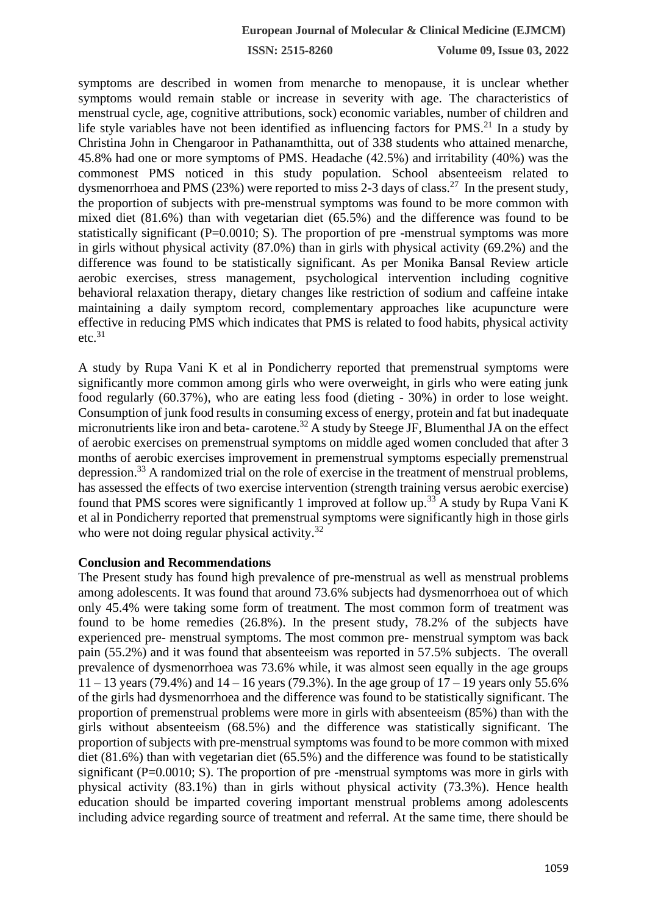symptoms are described in women from menarche to menopause, it is unclear whether symptoms would remain stable or increase in severity with age. The characteristics of menstrual cycle, age, cognitive attributions, sock) economic variables, number of children and life style variables have not been identified as influencing factors for  $PMS<sup>21</sup>$  In a study by Christina John in Chengaroor in Pathanamthitta, out of 338 students who attained menarche, 45.8% had one or more symptoms of PMS. Headache (42.5%) and irritability (40%) was the commonest PMS noticed in this study population. School absenteeism related to dysmenorrhoea and PMS (23%) were reported to miss 2-3 days of class.<sup>27</sup> In the present study, the proportion of subjects with pre-menstrual symptoms was found to be more common with mixed diet (81.6%) than with vegetarian diet (65.5%) and the difference was found to be statistically significant  $(P=0.0010; S)$ . The proportion of pre-menstrual symptoms was more in girls without physical activity (87.0%) than in girls with physical activity (69.2%) and the difference was found to be statistically significant. As per Monika Bansal Review article aerobic exercises, stress management, psychological intervention including cognitive behavioral relaxation therapy, dietary changes like restriction of sodium and caffeine intake maintaining a daily symptom record, complementary approaches like acupuncture were effective in reducing PMS which indicates that PMS is related to food habits, physical activity  $etc.<sup>31</sup>$ 

A study by Rupa Vani K et al in Pondicherry reported that premenstrual symptoms were significantly more common among girls who were overweight, in girls who were eating junk food regularly (60.37%), who are eating less food (dieting - 30%) in order to lose weight. Consumption of junk food results in consuming excess of energy, protein and fat but inadequate micronutrients like iron and beta- carotene.<sup>32</sup> A study by Steege JF, Blumenthal JA on the effect of aerobic exercises on premenstrual symptoms on middle aged women concluded that after 3 months of aerobic exercises improvement in premenstrual symptoms especially premenstrual depression.<sup>33</sup> A randomized trial on the role of exercise in the treatment of menstrual problems, has assessed the effects of two exercise intervention (strength training versus aerobic exercise) found that PMS scores were significantly 1 improved at follow up.<sup>33</sup> A study by Rupa Vani K et al in Pondicherry reported that premenstrual symptoms were significantly high in those girls who were not doing regular physical activity.<sup>32</sup>

#### **Conclusion and Recommendations**

The Present study has found high prevalence of pre-menstrual as well as menstrual problems among adolescents. It was found that around 73.6% subjects had dysmenorrhoea out of which only 45.4% were taking some form of treatment. The most common form of treatment was found to be home remedies (26.8%). In the present study, 78.2% of the subjects have experienced pre- menstrual symptoms. The most common pre- menstrual symptom was back pain (55.2%) and it was found that absenteeism was reported in 57.5% subjects. The overall prevalence of dysmenorrhoea was 73.6% while, it was almost seen equally in the age groups  $11 - 13$  years (79.4%) and  $14 - 16$  years (79.3%). In the age group of  $17 - 19$  years only 55.6% of the girls had dysmenorrhoea and the difference was found to be statistically significant. The proportion of premenstrual problems were more in girls with absenteeism (85%) than with the girls without absenteeism (68.5%) and the difference was statistically significant. The proportion of subjects with pre-menstrual symptoms was found to be more common with mixed diet (81.6%) than with vegetarian diet (65.5%) and the difference was found to be statistically significant ( $P=0.0010$ ; S). The proportion of pre-menstrual symptoms was more in girls with physical activity (83.1%) than in girls without physical activity (73.3%). Hence health education should be imparted covering important menstrual problems among adolescents including advice regarding source of treatment and referral. At the same time, there should be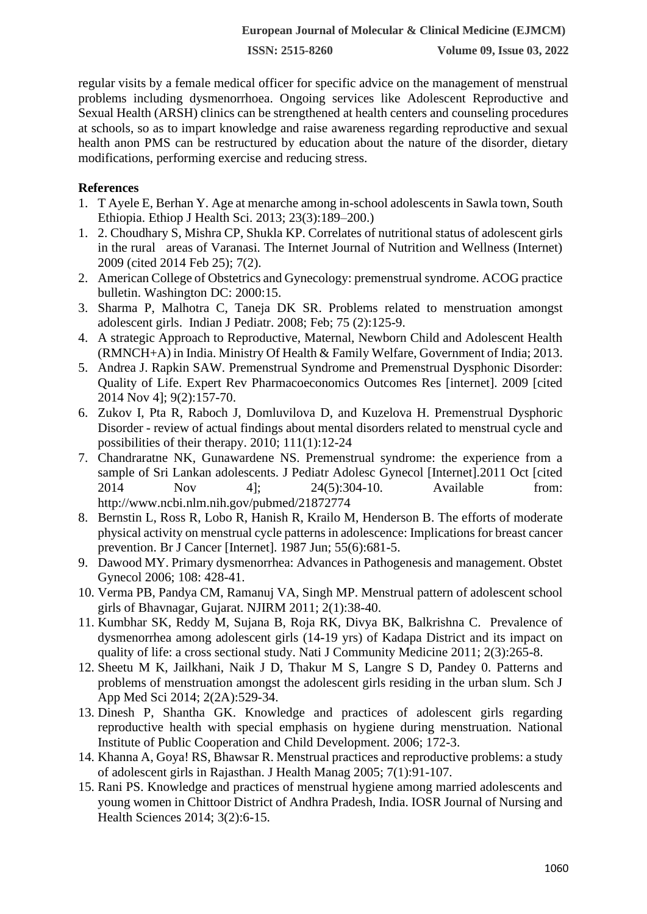regular visits by a female medical officer for specific advice on the management of menstrual problems including dysmenorrhoea. Ongoing services like Adolescent Reproductive and Sexual Health (ARSH) clinics can be strengthened at health centers and counseling procedures at schools, so as to impart knowledge and raise awareness regarding reproductive and sexual health anon PMS can be restructured by education about the nature of the disorder, dietary modifications, performing exercise and reducing stress.

## **References**

- 1. T Ayele E, Berhan Y. Age at menarche among in-school adolescents in Sawla town, South Ethiopia. Ethiop J Health Sci. 2013; 23(3):189–200.)
- 1. 2. Choudhary S, Mishra CP, Shukla KP. Correlates of nutritional status of adolescent girls in the rural areas of Varanasi. The Internet Journal of Nutrition and Wellness (Internet) 2009 (cited 2014 Feb 25); 7(2).
- 2. American College of Obstetrics and Gynecology: premenstrual syndrome. ACOG practice bulletin. Washington DC: 2000:15.
- 3. Sharma P, Malhotra C, Taneja DK SR. Problems related to menstruation amongst adolescent girls. Indian J Pediatr. 2008; Feb; 75 (2):125-9.
- 4. A strategic Approach to Reproductive, Maternal, Newborn Child and Adolescent Health (RMNCH+A) in India. Ministry Of Health & Family Welfare, Government of India; 2013.
- 5. Andrea J. Rapkin SAW. Premenstrual Syndrome and Premenstrual Dysphonic Disorder: Quality of Life. Expert Rev Pharmacoeconomics Outcomes Res [internet]. 2009 [cited 2014 Nov 4]; 9(2):157-70.
- 6. Zukov I, Pta R, Raboch J, Domluvilova D, and Kuzelova H. Premenstrual Dysphoric Disorder - review of actual findings about mental disorders related to menstrual cycle and possibilities of their therapy. 2010; 111(1):12-24
- 7. Chandraratne NK, Gunawardene NS. Premenstrual syndrome: the experience from a sample of Sri Lankan adolescents. J Pediatr Adolesc Gynecol [Internet].2011 Oct [cited 2014 Nov 4]; 24(5):304-10. Available from: http://www.ncbi.nlm.nih.gov/pubmed/21872774
- 8. Bernstin L, Ross R, Lobo R, Hanish R, Krailo M, Henderson B. The efforts of moderate physical activity on menstrual cycle patterns in adolescence: Implications for breast cancer prevention. Br J Cancer [Internet]. 1987 Jun; 55(6):681-5.
- 9. Dawood MY. Primary dysmenorrhea: Advances in Pathogenesis and management. Obstet Gynecol 2006; 108: 428-41.
- 10. Verma PB, Pandya CM, Ramanuj VA, Singh MP. Menstrual pattern of adolescent school girls of Bhavnagar, Gujarat. NJIRM 2011; 2(1):38-40.
- 11. Kumbhar SK, Reddy M, Sujana B, Roja RK, Divya BK, Balkrishna C. Prevalence of dysmenorrhea among adolescent girls (14-19 yrs) of Kadapa District and its impact on quality of life: a cross sectional study. Nati J Community Medicine 2011; 2(3):265-8.
- 12. Sheetu M K, Jailkhani, Naik J D, Thakur M S, Langre S D, Pandey 0. Patterns and problems of menstruation amongst the adolescent girls residing in the urban slum. Sch J App Med Sci 2014; 2(2A):529-34.
- 13. Dinesh P, Shantha GK. Knowledge and practices of adolescent girls regarding reproductive health with special emphasis on hygiene during menstruation. National Institute of Public Cooperation and Child Development. 2006; 172-3.
- 14. Khanna A, Goya! RS, Bhawsar R. Menstrual practices and reproductive problems: a study of adolescent girls in Rajasthan. J Health Manag 2005; 7(1):91-107.
- 15. Rani PS. Knowledge and practices of menstrual hygiene among married adolescents and young women in Chittoor District of Andhra Pradesh, India. IOSR Journal of Nursing and Health Sciences 2014; 3(2):6-15.